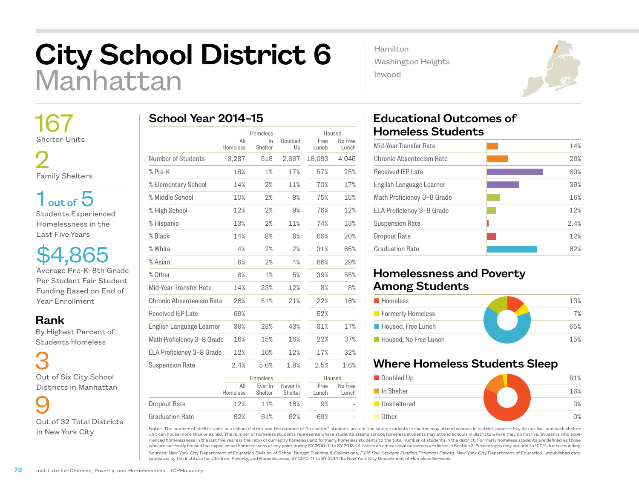## City School District 6 Manhattan

 167 Shelter Units

 2 Family Shelters

 $1<sub>out of</sub> 5$ Students Experienced Homelessness in the Last Five Years

\$4,865 Average Pre-K–8th Grade Per Student Fair Student Funding Based on End of Year Enrollment

## Rank

 By Highest Percent of Students Homeless

 3 Out of Six City School Districts in Manhattan

 9 Out of 32 Total Districts in New York City

|                            | All             | Homeless<br>$\ln$  | Doubled             | Free          | Housed<br>No Free |
|----------------------------|-----------------|--------------------|---------------------|---------------|-------------------|
|                            | Homeless        | Shelter            | Up                  | Lunch         | Lunch             |
| Number of Students         | 3,287           | 518                | 2,667               | 18,093        | 4,045             |
| % Pre-K                    | 18%             | 1%                 | 17%                 | 57%           | 25%               |
| % Elementary School        | 14%             | 2%                 | 11%                 | 70%           | 17%               |
| % Middle School            | 10%             | 2%                 | 8%                  | 75%           | 15%               |
| % High School              | 12%             | 2%                 | 9%                  | 76%           | 12%               |
| % Hispanic                 | 13%             | 2%                 | 11%                 | 74%           | 13%               |
| % Black                    | 14%             | 8%                 | 6%                  | 66%           | 20%               |
| % White                    | 4%              | 2%                 | 2%                  | 31%           | 65%               |
| % Asian                    | 6%              | 2%                 | 4%                  | 66%           | 29%               |
| % Other                    | 6%              | 1%                 | 5%                  | 39%           | 55%               |
| Mid-Year Transfer Rate     | 14%             | 23%                | 12%                 | 8%            | 8%                |
| Chronic Absenteeism Rate   | 26%             | 51%                | 21%                 | 22%           | 16%               |
| Received IEP Late          | 69%             |                    |                     | 52%           |                   |
| English Language Learner   | 39%             | 23%                | 43%                 | 31%           | 17%               |
| Math Proficiency 3-8 Grade | 16%             | 15%                | 16%                 | 22%           | 37%               |
| ELA Proficiency 3-8 Grade  | 12%             | 10%                | 12%                 | 17%           | 32%               |
| <b>Suspension Rate</b>     | 2.4%            | 5.6%               | 1.8%                | 2.5%          | 1.6%              |
|                            |                 | Homeless           |                     |               | Housed            |
|                            | All<br>Homeless | Ever In<br>Shelter | Never In<br>Shelter | Free<br>Lunch | No Free<br>Lunch  |
| <b>Dropout Rate</b>        | 12%             | 11%                | 16%                 | 9%            |                   |
| <b>Graduation Rate</b>     | 62%             | 61%                | 62%                 | 69%           |                   |

Hamilton Washington Heights Inwood



| Mid-Year Transfer Rate     | 14%  |
|----------------------------|------|
| Chronic Absenteeism Rate   | 26%  |
| <b>Received IEP Late</b>   | 69%  |
| English Language Learner   | 39%  |
| Math Proficiency 3-8 Grade | 16%  |
| ELA Proficiency 3-8 Grade  | 12%  |
| <b>Suspension Rate</b>     | 2.4% |
| Dropout Rate               | 12%  |
| <b>Graduation Rate</b>     | 62%  |
|                            |      |

## Homelessness and Poverty Among Students

| <b>Homeless</b>       | 13% |
|-----------------------|-----|
| Formerly Homeless     | 7%  |
| Housed, Free Lunch    | 65% |
| Housed, No Free Lunch | 15% |

## Where Homeless Students Sleep



Notes: The number of shelter units in a school district and the number of "in shelter" students are not the same; students in shelter may attend schools in districts where they do not live, and each shelter unit can house more than one child. The number of homeless students represents where students attend school; homeless students may attend schools in districts where they do not live. Students who experienced homelessness in the last five years is the ratio of currently homeless and formerly homeless students to the total number of students in the district. Formerly homeless students are defined as those who are currently housed but experienced homelessness at any point during SY 2010–11 to SY 2013–14. Notes on educational outcomes are listed in Section 3. Percentages may not add to 100% due to rounding.

Sources: New York City Department of Education Division of School Budget Planning & Operations, *FY15 Fair Student Funding Program Details*; New York City Department of Education, unpublished data tabulated by the Institute for Children, Poverty, and Homelessness, SY 2010–11 to SY 2014–15; New York City Department of Homeless Services.